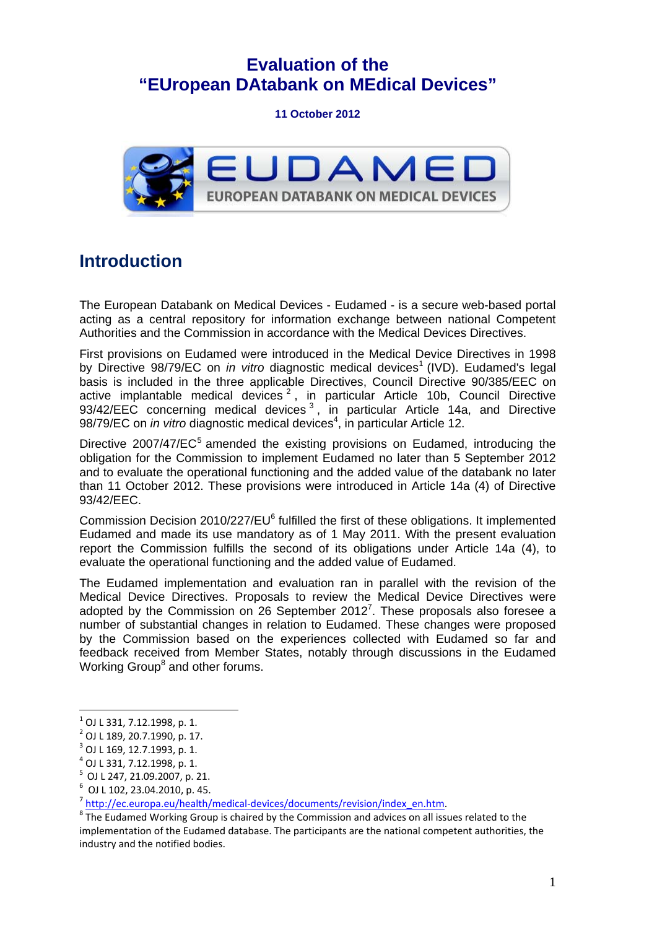## **Evaluation of the "EUropean DAtabank on MEdical Devices"**

**11 October 2012**



## **Introduction**

The European Databank on Medical Devices - Eudamed - is a secure web-based portal acting as a central repository for information exchange between national Competent Authorities and the Commission in accordance with the Medical Devices Directives.

First provisions on Eudamed were introduced in the Medical Device Directives in 1998 by Directive 98/79/EC on *in vitro* diagnostic medical devices<sup>1</sup> (IVD). Eudamed's legal basis is included in the three applicable Directives, Council Directive 90/385/EEC on active implantable medical devices<sup>2</sup>, in particular Article 10b, Council Directive 93/42/EEC concerning medical devices<sup>3</sup>, in particular Article 14a, and Directive 98/79/EC on *in vitro* diagnostic medical devices<sup>4</sup>, in particular Article 12.

Directive 2007/47/EC<sup>5</sup> amended the existing provisions on Eudamed, introducing the obligation for the Commission to implement Eudamed no later than 5 September 2012 and to evaluate the operational functioning and the added value of the databank no later than 11 October 2012. These provisions were introduced in Article 14a (4) of Directive 93/42/EEC.

Commission Decision 2010/227/EU<sup>6</sup> fulfilled the first of these obligations. It implemented Eudamed and made its use mandatory as of 1 May 2011. With the present evaluation report the Commission fulfills the second of its obligations under Article 14a (4), to evaluate the operational functioning and the added value of Eudamed.

The Eudamed implementation and evaluation ran in parallel with the revision of the Medical Device Directives. Proposals to review the Medical Device Directives were adopted by the Commission on 26 September  $2012<sup>7</sup>$ . These proposals also foresee a number of substantial changes in relation to Eudamed. These changes were proposed by the Commission based on the experiences collected with Eudamed so far and feedback received from Member States, notably through discussions in the Eudamed Working Group<sup>8</sup> and other forums.

1

 $^{1}$  OJ L 331, 7.12.1998, p. 1.

<sup>2</sup> OJ L 189, 20.7.1990, p. 17.

 $3$  OJ L 169, 12.7.1993, p. 1.

 $^4$  OJ L 331, 7.12.1998, p. 1.

 $5$  OJ L 247, 21.09.2007, p. 21.

<sup>6</sup> OJ L 102, 23.04.2010, p. 45.

<sup>&</sup>lt;sup>7</sup> [http://ec.europa.eu/health/medical-devices/documents/revisi](http://ec.europa.eu/health/medical-devices/documents/revision/index_en.htm)[on/index\\_en.htm](http://ec.europa.eu/growth/sectors/medical-devices/regulatory-framework/revision/index_en.htm).

<sup>&</sup>lt;sup>8</sup>The Eudamed Working Group is chaired by the Commission and advices on all issues related to the implementation of the Eudamed database. The participants are the national competent authorities, the industry and the notified bodies.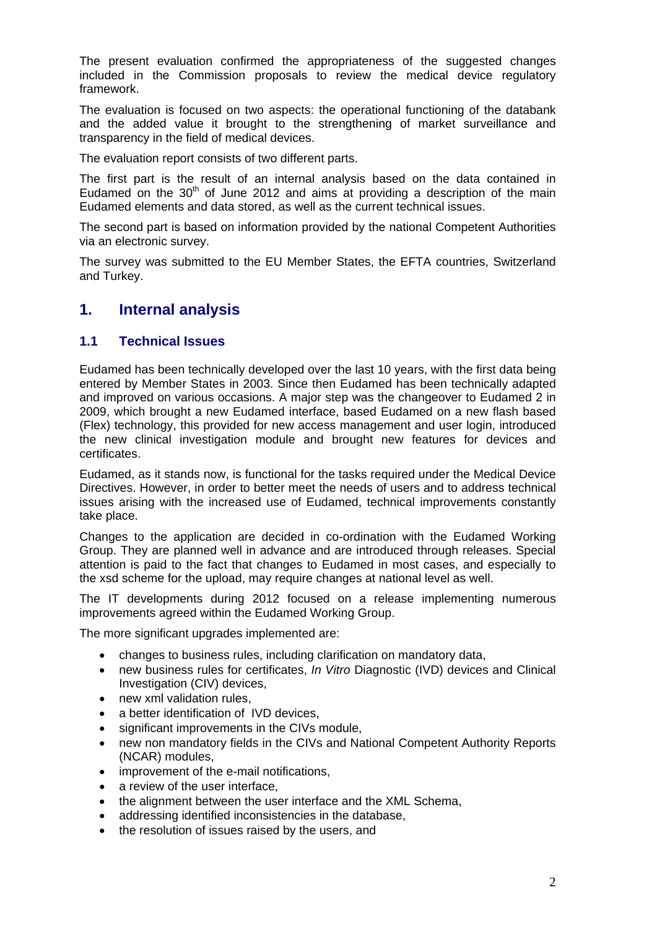The present evaluation confirmed the appropriateness of the suggested changes included in the Commission proposals to review the medical device regulatory framework.

The evaluation is focused on two aspects: the operational functioning of the databank and the added value it brought to the strengthening of market surveillance and transparency in the field of medical devices.

The evaluation report consists of two different parts.

The first part is the result of an internal analysis based on the data contained in Eudamed on the  $30<sup>th</sup>$  of June 2012 and aims at providing a description of the main Eudamed elements and data stored, as well as the current technical issues.

The second part is based on information provided by the national Competent Authorities via an electronic survey.

The survey was submitted to the EU Member States, the EFTA countries, Switzerland and Turkey.

### **1. Internal analysis**

#### **1.1 Technical Issues**

Eudamed has been technically developed over the last 10 years, with the first data being entered by Member States in 2003. Since then Eudamed has been technically adapted and improved on various occasions. A major step was the changeover to Eudamed 2 in 2009, which brought a new Eudamed interface, based Eudamed on a new flash based (Flex) technology, this provided for new access management and user login, introduced the new clinical investigation module and brought new features for devices and certificates.

Eudamed, as it stands now, is functional for the tasks required under the Medical Device Directives. However, in order to better meet the needs of users and to address technical issues arising with the increased use of Eudamed, technical improvements constantly take place.

Changes to the application are decided in co-ordination with the Eudamed Working Group. They are planned well in advance and are introduced through releases. Special attention is paid to the fact that changes to Eudamed in most cases, and especially to the xsd scheme for the upload, may require changes at national level as well.

The IT developments during 2012 focused on a release implementing numerous improvements agreed within the Eudamed Working Group.

The more significant upgrades implemented are:

- changes to business rules, including clarification on mandatory data,
- new business rules for certificates, *In Vitro* Diagnostic (IVD) devices and Clinical Investigation (CIV) devices,
- new xml validation rules.
- a better identification of IVD devices,
- significant improvements in the CIVs module,
- new non mandatory fields in the CIVs and National Competent Authority Reports (NCAR) modules,
- improvement of the e-mail notifications,
- a review of the user interface.
- the alignment between the user interface and the XML Schema,
- addressing identified inconsistencies in the database,
- the resolution of issues raised by the users, and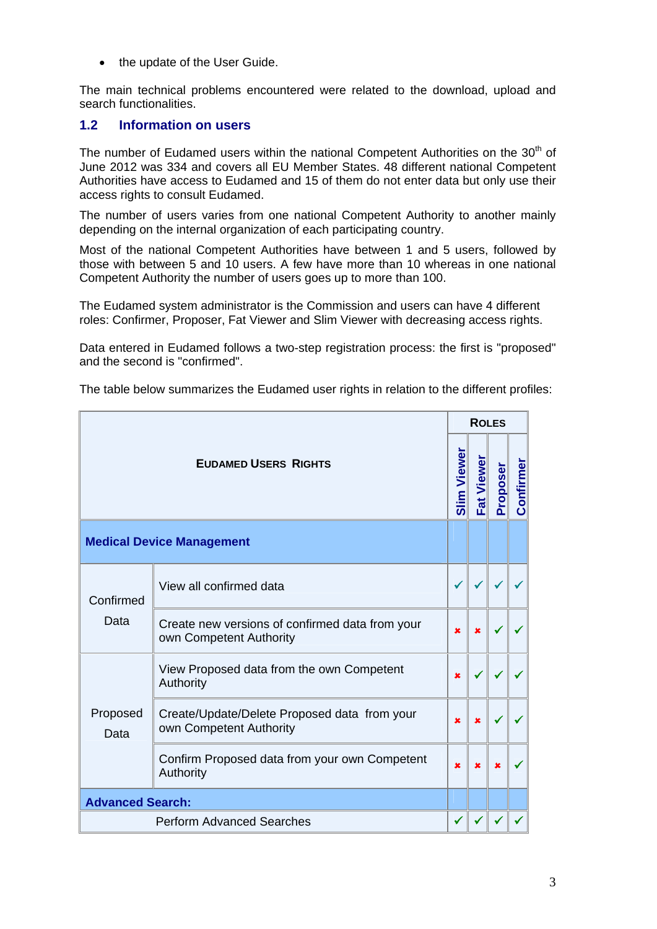• the update of the User Guide.

The main technical problems encountered were related to the download, upload and search functionalities.

#### **1.2 Information on users**

The number of Eudamed users within the national Competent Authorities on the 30<sup>th</sup> of June 2012 was 334 and covers all EU Member States. 48 different national Competent Authorities have access to Eudamed and 15 of them do not enter data but only use their access rights to consult Eudamed.

The number of users varies from one national Competent Authority to another mainly depending on the internal organization of each participating country.

Most of the national Competent Authorities have between 1 and 5 users, followed by those with between 5 and 10 users. A few have more than 10 whereas in one national Competent Authority the number of users goes up to more than 100.

The Eudamed system administrator is the Commission and users can have 4 different roles: Confirmer, Proposer, Fat Viewer and Slim Viewer with decreasing access rights.

Data entered in Eudamed follows a two-step registration process: the first is "proposed" and the second is "confirmed".

The table below summarizes the Eudamed user rights in relation to the different profiles:

|                                  |                                                                            | <b>ROLES</b>            |             |          |           |
|----------------------------------|----------------------------------------------------------------------------|-------------------------|-------------|----------|-----------|
| <b>EUDAMED USERS RIGHTS</b>      |                                                                            |                         | Fat Viewer  | Proposer | Confirmer |
| <b>Medical Device Management</b> |                                                                            |                         |             |          |           |
| Confirmed<br>Data                | View all confirmed data                                                    |                         |             |          |           |
|                                  | Create new versions of confirmed data from your<br>own Competent Authority | $\pmb{\times}$          | $\mathbf x$ |          |           |
| Proposed<br>Data                 | View Proposed data from the own Competent<br>Authority                     | $\pmb{\times}$          |             |          |           |
|                                  | Create/Update/Delete Proposed data from your<br>own Competent Authority    | $\overline{\mathbf{x}}$ | $\mathbf x$ |          |           |
|                                  | Confirm Proposed data from your own Competent<br>Authority                 | $\overline{\mathbf{x}}$ | $\mathbf x$ | ×        |           |
| <b>Advanced Search:</b>          |                                                                            |                         |             |          |           |
| <b>Perform Advanced Searches</b> |                                                                            |                         |             |          |           |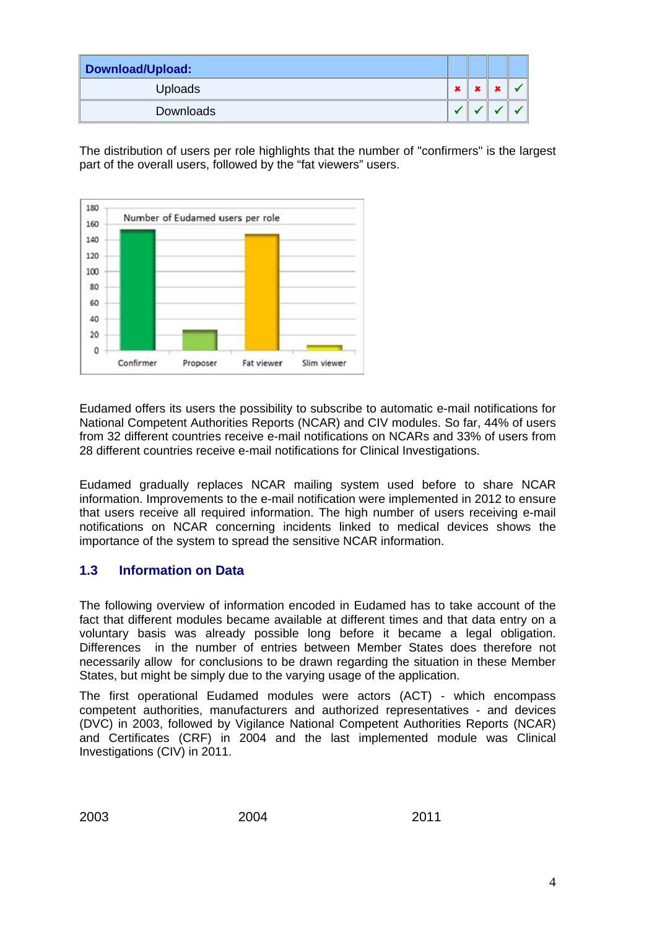| Download/Upload: |   |  |  |
|------------------|---|--|--|
| <b>Uploads</b>   | × |  |  |
| Downloads        |   |  |  |

The distribution of users per role highlights that the number of "confirmers" is the largest part of the overall users, followed by the "fat viewers" users.



Eudamed offers its users the possibility to subscribe to automatic e-mail notifications for National Competent Authorities Reports (NCAR) and CIV modules. So far, 44% of users from 32 different countries receive e-mail notifications on NCARs and 33% of users from 28 different countries receive e-mail notifications for Clinical Investigations.

Eudamed gradually replaces NCAR mailing system used before to share NCAR information. Improvements to the e-mail notification were implemented in 2012 to ensure that users receive all required information. The high number of users receiving e-mail notifications on NCAR concerning incidents linked to medical devices shows the importance of the system to spread the sensitive NCAR information.

#### **1.3 Information on Data**

The following overview of information encoded in Eudamed has to take account of the fact that different modules became available at different times and that data entry on a voluntary basis was already possible long before it became a legal obligation. Differences in the number of entries between Member States does therefore not necessarily allow for conclusions to be drawn regarding the situation in these Member States, but might be simply due to the varying usage of the application.

The first operational Eudamed modules were actors (ACT) - which encompass competent authorities, manufacturers and authorized representatives - and devices (DVC) in 2003, followed by Vigilance National Competent Authorities Reports (NCAR) and Certificates (CRF) in 2004 and the last implemented module was Clinical Investigations (CIV) in 2011.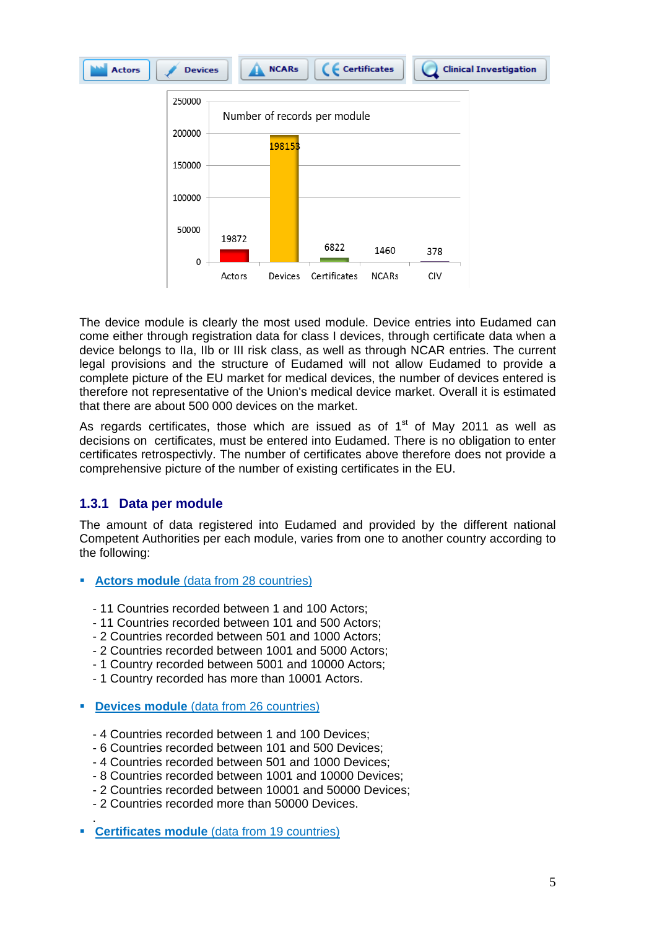

The device module is clearly the most used module. Device entries into Eudamed can come either through registration data for class I devices, through certificate data when a device belongs to IIa, IIb or III risk class, as well as through NCAR entries. The current legal provisions and the structure of Eudamed will not allow Eudamed to provide a complete picture of the EU market for medical devices, the number of devices entered is therefore not representative of the Union's medical device market. Overall it is estimated that there are about 500 000 devices on the market.

As regards certificates, those which are issued as of  $1<sup>st</sup>$  of May 2011 as well as decisions on certificates, must be entered into Eudamed. There is no obligation to enter certificates retrospectivly. The number of certificates above therefore does not provide a comprehensive picture of the number of existing certificates in the EU.

#### **1.3.1 Data per module**

The amount of data registered into Eudamed and provided by the different national Competent Authorities per each module, varies from one to another country according to the following:

- **Actors module** (data from 28 countries)
	- 11 Countries recorded between 1 and 100 Actors;
	- 11 Countries recorded between 101 and 500 Actors;
	- 2 Countries recorded between 501 and 1000 Actors;
	- 2 Countries recorded between 1001 and 5000 Actors;
	- 1 Country recorded between 5001 and 10000 Actors;
	- 1 Country recorded has more than 10001 Actors.
- **Devices module** (data from 26 countries)
	- 4 Countries recorded between 1 and 100 Devices;
	- 6 Countries recorded between 101 and 500 Devices;
	- 4 Countries recorded between 501 and 1000 Devices;
	- 8 Countries recorded between 1001 and 10000 Devices;
	- 2 Countries recorded between 10001 and 50000 Devices;
	- 2 Countries recorded more than 50000 Devices.
- **Certificates module** (data from 19 countries)

.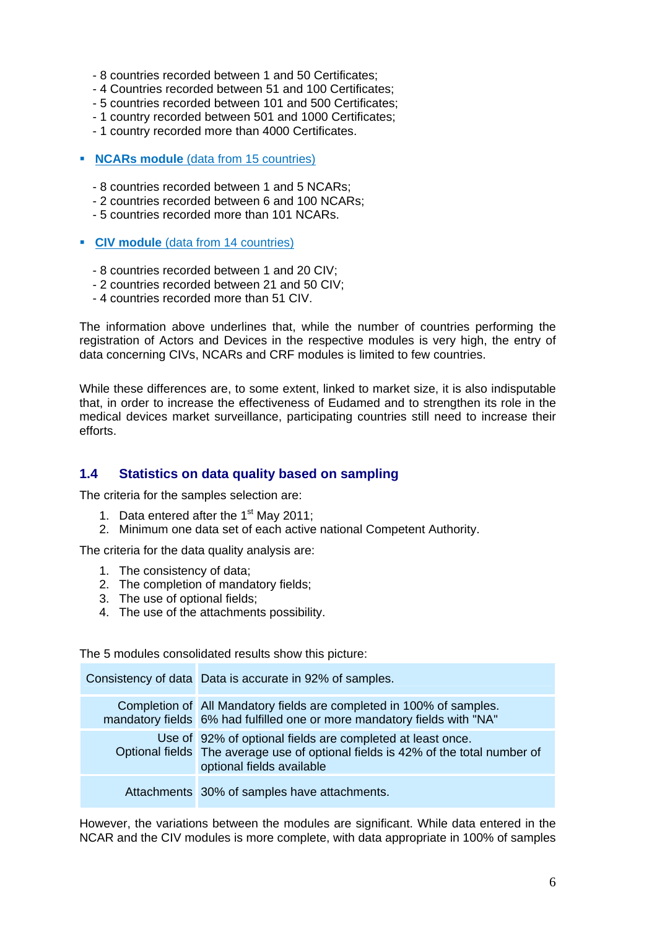- 8 countries recorded between 1 and 50 Certificates;
- 4 Countries recorded between 51 and 100 Certificates;
- 5 countries recorded between 101 and 500 Certificates;
- 1 country recorded between 501 and 1000 Certificates;
- 1 country recorded more than 4000 Certificates.
- **NCARs module** (data from 15 countries)
	- 8 countries recorded between 1 and 5 NCARs;
	- 2 countries recorded between 6 and 100 NCARs;
	- 5 countries recorded more than 101 NCARs.
- **CIV module** (data from 14 countries)
	- 8 countries recorded between 1 and 20 CIV;
	- 2 countries recorded between 21 and 50 CIV;
	- 4 countries recorded more than 51 CIV.

The information above underlines that, while the number of countries performing the registration of Actors and Devices in the respective modules is very high, the entry of data concerning CIVs, NCARs and CRF modules is limited to few countries.

While these differences are, to some extent, linked to market size, it is also indisputable that, in order to increase the effectiveness of Eudamed and to strengthen its role in the medical devices market surveillance, participating countries still need to increase their efforts.

#### **1.4 Statistics on data quality based on sampling**

The criteria for the samples selection are:

- 1. Data entered after the 1<sup>st</sup> May 2011:
- 2. Minimum one data set of each active national Competent Authority.

The criteria for the data quality analysis are:

- 1. The consistency of data;
- 2. The completion of mandatory fields;
- 3. The use of optional fields;
- 4. The use of the attachments possibility.

The 5 modules consolidated results show this picture:

| Consistency of data Data is accurate in 92% of samples.                                                                                                                     |
|-----------------------------------------------------------------------------------------------------------------------------------------------------------------------------|
| Completion of All Mandatory fields are completed in 100% of samples.<br>mandatory fields 6% had fulfilled one or more mandatory fields with "NA"                            |
| Use of 92% of optional fields are completed at least once.<br>Optional fields The average use of optional fields is 42% of the total number of<br>optional fields available |
| Attachments 30% of samples have attachments.                                                                                                                                |

However, the variations between the modules are significant. While data entered in the NCAR and the CIV modules is more complete, with data appropriate in 100% of samples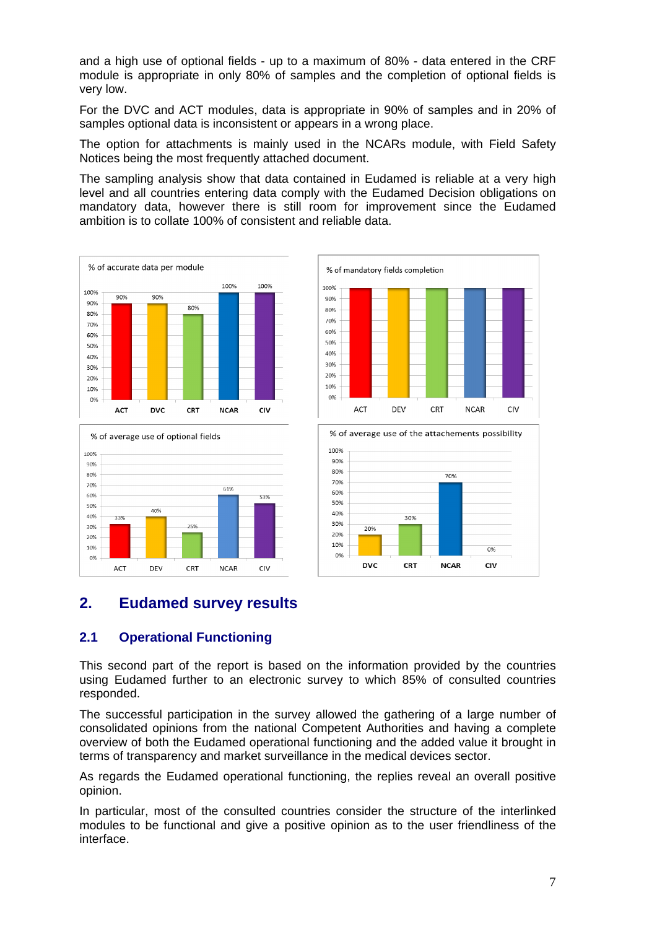and a high use of optional fields - up to a maximum of 80% - data entered in the CRF module is appropriate in only 80% of samples and the completion of optional fields is very low.

For the DVC and ACT modules, data is appropriate in 90% of samples and in 20% of samples optional data is inconsistent or appears in a wrong place.

The option for attachments is mainly used in the NCARs module, with Field Safety Notices being the most frequently attached document.

The sampling analysis show that data contained in Eudamed is reliable at a very high level and all countries entering data comply with the Eudamed Decision obligations on mandatory data, however there is still room for improvement since the Eudamed ambition is to collate 100% of consistent and reliable data.







% of average use of the attachements possibility



### **2. Eudamed survey results**

#### **2.1 Operational Functioning**

This second part of the report is based on the information provided by the countries using Eudamed further to an electronic survey to which 85% of consulted countries responded.

The successful participation in the survey allowed the gathering of a large number of consolidated opinions from the national Competent Authorities and having a complete overview of both the Eudamed operational functioning and the added value it brought in terms of transparency and market surveillance in the medical devices sector.

As regards the Eudamed operational functioning, the replies reveal an overall positive opinion.

In particular, most of the consulted countries consider the structure of the interlinked modules to be functional and give a positive opinion as to the user friendliness of the interface.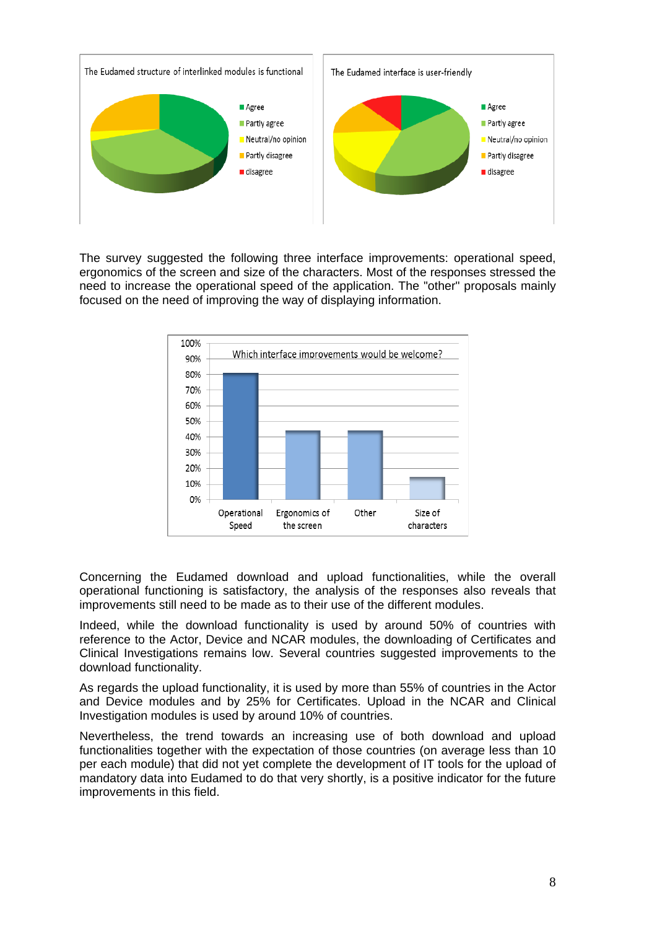

The survey suggested the following three interface improvements: operational speed, ergonomics of the screen and size of the characters. Most of the responses stressed the need to increase the operational speed of the application. The "other" proposals mainly focused on the need of improving the way of displaying information.



Concerning the Eudamed download and upload functionalities, while the overall operational functioning is satisfactory, the analysis of the responses also reveals that improvements still need to be made as to their use of the different modules.

Indeed, while the download functionality is used by around 50% of countries with reference to the Actor, Device and NCAR modules, the downloading of Certificates and Clinical Investigations remains low. Several countries suggested improvements to the download functionality.

As regards the upload functionality, it is used by more than 55% of countries in the Actor and Device modules and by 25% for Certificates. Upload in the NCAR and Clinical Investigation modules is used by around 10% of countries.

Nevertheless, the trend towards an increasing use of both download and upload functionalities together with the expectation of those countries (on average less than 10 per each module) that did not yet complete the development of IT tools for the upload of mandatory data into Eudamed to do that very shortly, is a positive indicator for the future improvements in this field.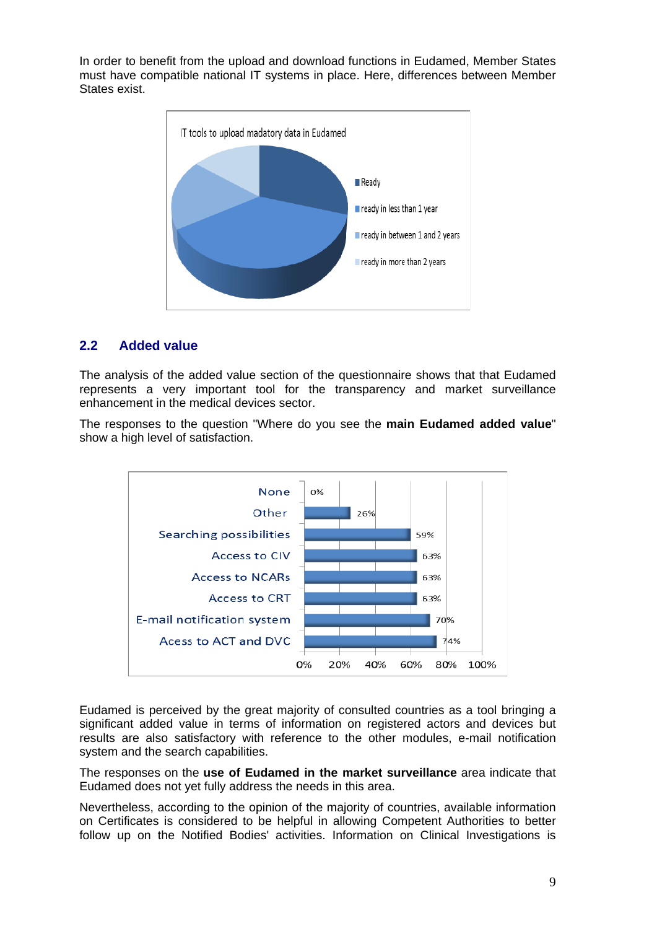In order to benefit from the upload and download functions in Eudamed, Member States must have compatible national IT systems in place. Here, differences between Member States exist.



### **2.2 Added value**

The analysis of the added value section of the questionnaire shows that that Eudamed represents a very important tool for the transparency and market surveillance enhancement in the medical devices sector.

The responses to the question "Where do you see the **main Eudamed added value**" show a high level of satisfaction.



Eudamed is perceived by the great majority of consulted countries as a tool bringing a significant added value in terms of information on registered actors and devices but results are also satisfactory with reference to the other modules, e-mail notification system and the search capabilities.

The responses on the **use of Eudamed in the market surveillance** area indicate that Eudamed does not yet fully address the needs in this area.

Nevertheless, according to the opinion of the majority of countries, available information on Certificates is considered to be helpful in allowing Competent Authorities to better follow up on the Notified Bodies' activities. Information on Clinical Investigations is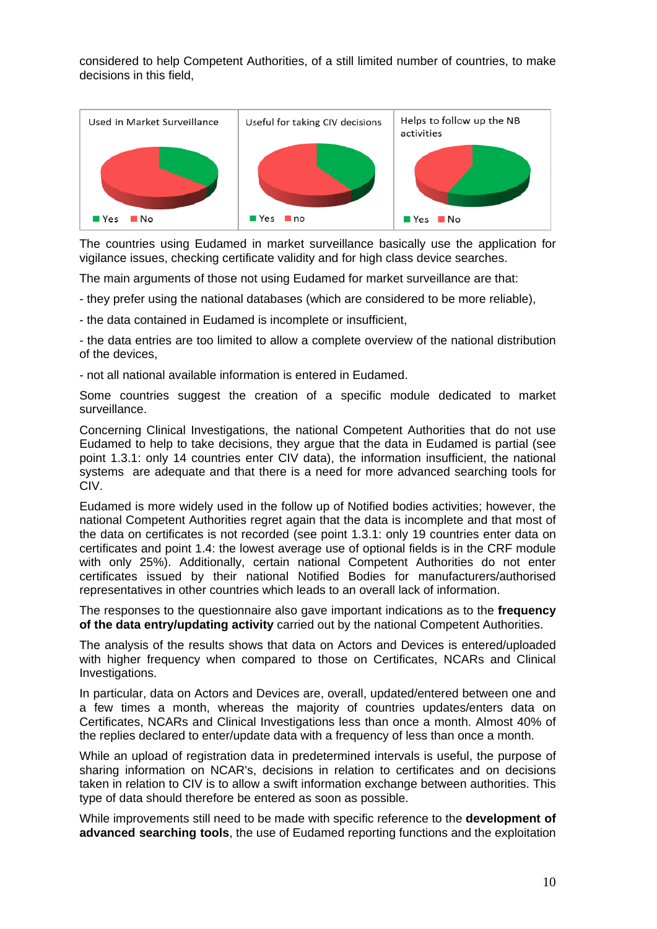considered to help Competent Authorities, of a still limited number of countries, to make decisions in this field,



The countries using Eudamed in market surveillance basically use the application for vigilance issues, checking certificate validity and for high class device searches.

The main arguments of those not using Eudamed for market surveillance are that:

- they prefer using the national databases (which are considered to be more reliable),

- the data contained in Eudamed is incomplete or insufficient,

- the data entries are too limited to allow a complete overview of the national distribution of the devices,

- not all national available information is entered in Eudamed.

Some countries suggest the creation of a specific module dedicated to market surveillance.

Concerning Clinical Investigations, the national Competent Authorities that do not use Eudamed to help to take decisions, they argue that the data in Eudamed is partial (see point 1.3.1: only 14 countries enter CIV data), the information insufficient, the national systems are adequate and that there is a need for more advanced searching tools for CIV.

Eudamed is more widely used in the follow up of Notified bodies activities; however, the national Competent Authorities regret again that the data is incomplete and that most of the data on certificates is not recorded (see point 1.3.1: only 19 countries enter data on certificates and point 1.4: the lowest average use of optional fields is in the CRF module with only 25%). Additionally, certain national Competent Authorities do not enter certificates issued by their national Notified Bodies for manufacturers/authorised representatives in other countries which leads to an overall lack of information.

The responses to the questionnaire also gave important indications as to the **frequency of the data entry/updating activity** carried out by the national Competent Authorities.

The analysis of the results shows that data on Actors and Devices is entered/uploaded with higher frequency when compared to those on Certificates, NCARs and Clinical Investigations.

In particular, data on Actors and Devices are, overall, updated/entered between one and a few times a month, whereas the majority of countries updates/enters data on Certificates, NCARs and Clinical Investigations less than once a month. Almost 40% of the replies declared to enter/update data with a frequency of less than once a month.

While an upload of registration data in predetermined intervals is useful, the purpose of sharing information on NCAR's, decisions in relation to certificates and on decisions taken in relation to CIV is to allow a swift information exchange between authorities. This type of data should therefore be entered as soon as possible.

While improvements still need to be made with specific reference to the **development of advanced searching tools**, the use of Eudamed reporting functions and the exploitation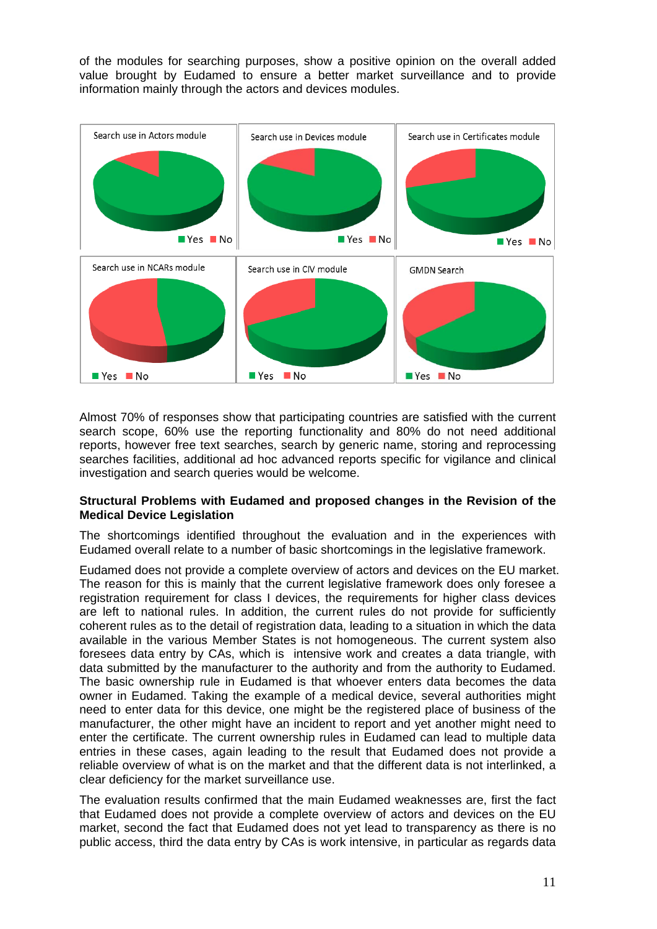of the modules for searching purposes, show a positive opinion on the overall added value brought by Eudamed to ensure a better market surveillance and to provide information mainly through the actors and devices modules.



Almost 70% of responses show that participating countries are satisfied with the current search scope, 60% use the reporting functionality and 80% do not need additional reports, however free text searches, search by generic name, storing and reprocessing searches facilities, additional ad hoc advanced reports specific for vigilance and clinical investigation and search queries would be welcome.

#### **Structural Problems with Eudamed and proposed changes in the Revision of the Medical Device Legislation**

The shortcomings identified throughout the evaluation and in the experiences with Eudamed overall relate to a number of basic shortcomings in the legislative framework.

Eudamed does not provide a complete overview of actors and devices on the EU market. The reason for this is mainly that the current legislative framework does only foresee a registration requirement for class I devices, the requirements for higher class devices are left to national rules. In addition, the current rules do not provide for sufficiently coherent rules as to the detail of registration data, leading to a situation in which the data available in the various Member States is not homogeneous. The current system also foresees data entry by CAs, which is intensive work and creates a data triangle, with data submitted by the manufacturer to the authority and from the authority to Eudamed. The basic ownership rule in Eudamed is that whoever enters data becomes the data owner in Eudamed. Taking the example of a medical device, several authorities might need to enter data for this device, one might be the registered place of business of the manufacturer, the other might have an incident to report and yet another might need to enter the certificate. The current ownership rules in Eudamed can lead to multiple data entries in these cases, again leading to the result that Eudamed does not provide a reliable overview of what is on the market and that the different data is not interlinked, a clear deficiency for the market surveillance use.

The evaluation results confirmed that the main Eudamed weaknesses are, first the fact that Eudamed does not provide a complete overview of actors and devices on the EU market, second the fact that Eudamed does not yet lead to transparency as there is no public access, third the data entry by CAs is work intensive, in particular as regards data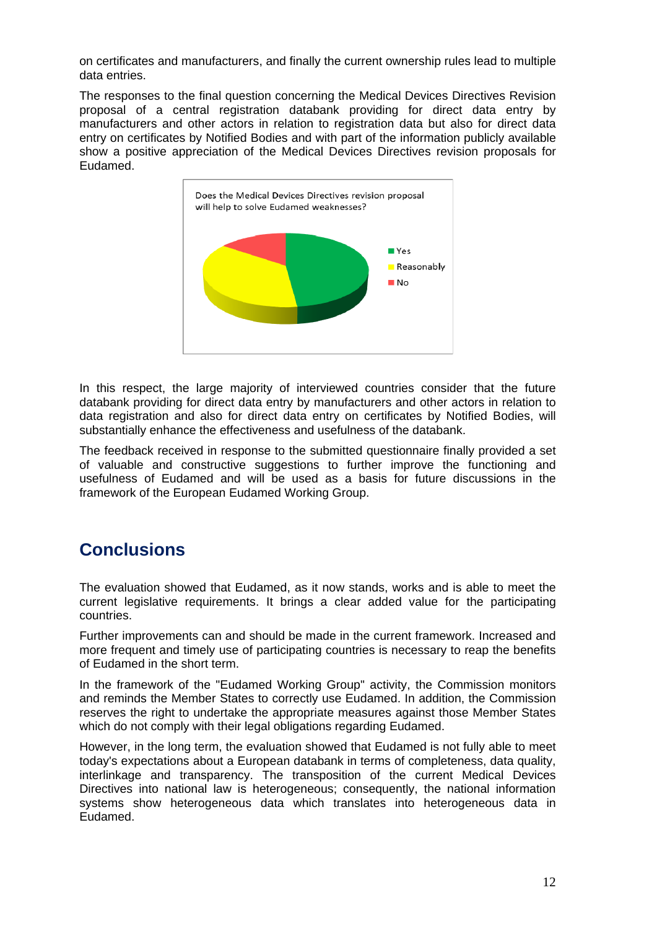on certificates and manufacturers, and finally the current ownership rules lead to multiple data entries.

The responses to the final question concerning the Medical Devices Directives Revision proposal of a central registration databank providing for direct data entry by manufacturers and other actors in relation to registration data but also for direct data entry on certificates by Notified Bodies and with part of the information publicly available show a positive appreciation of the Medical Devices Directives revision proposals for Eudamed.



In this respect, the large majority of interviewed countries consider that the future databank providing for direct data entry by manufacturers and other actors in relation to data registration and also for direct data entry on certificates by Notified Bodies, will substantially enhance the effectiveness and usefulness of the databank.

The feedback received in response to the submitted questionnaire finally provided a set of valuable and constructive suggestions to further improve the functioning and usefulness of Eudamed and will be used as a basis for future discussions in the framework of the European Eudamed Working Group.

# **Conclusions**

The evaluation showed that Eudamed, as it now stands, works and is able to meet the current legislative requirements. It brings a clear added value for the participating countries.

Further improvements can and should be made in the current framework. Increased and more frequent and timely use of participating countries is necessary to reap the benefits of Eudamed in the short term.

In the framework of the "Eudamed Working Group" activity, the Commission monitors and reminds the Member States to correctly use Eudamed. In addition, the Commission reserves the right to undertake the appropriate measures against those Member States which do not comply with their legal obligations regarding Eudamed.

However, in the long term, the evaluation showed that Eudamed is not fully able to meet today's expectations about a European databank in terms of completeness, data quality, interlinkage and transparency. The transposition of the current Medical Devices Directives into national law is heterogeneous; consequently, the national information systems show heterogeneous data which translates into heterogeneous data in Eudamed.